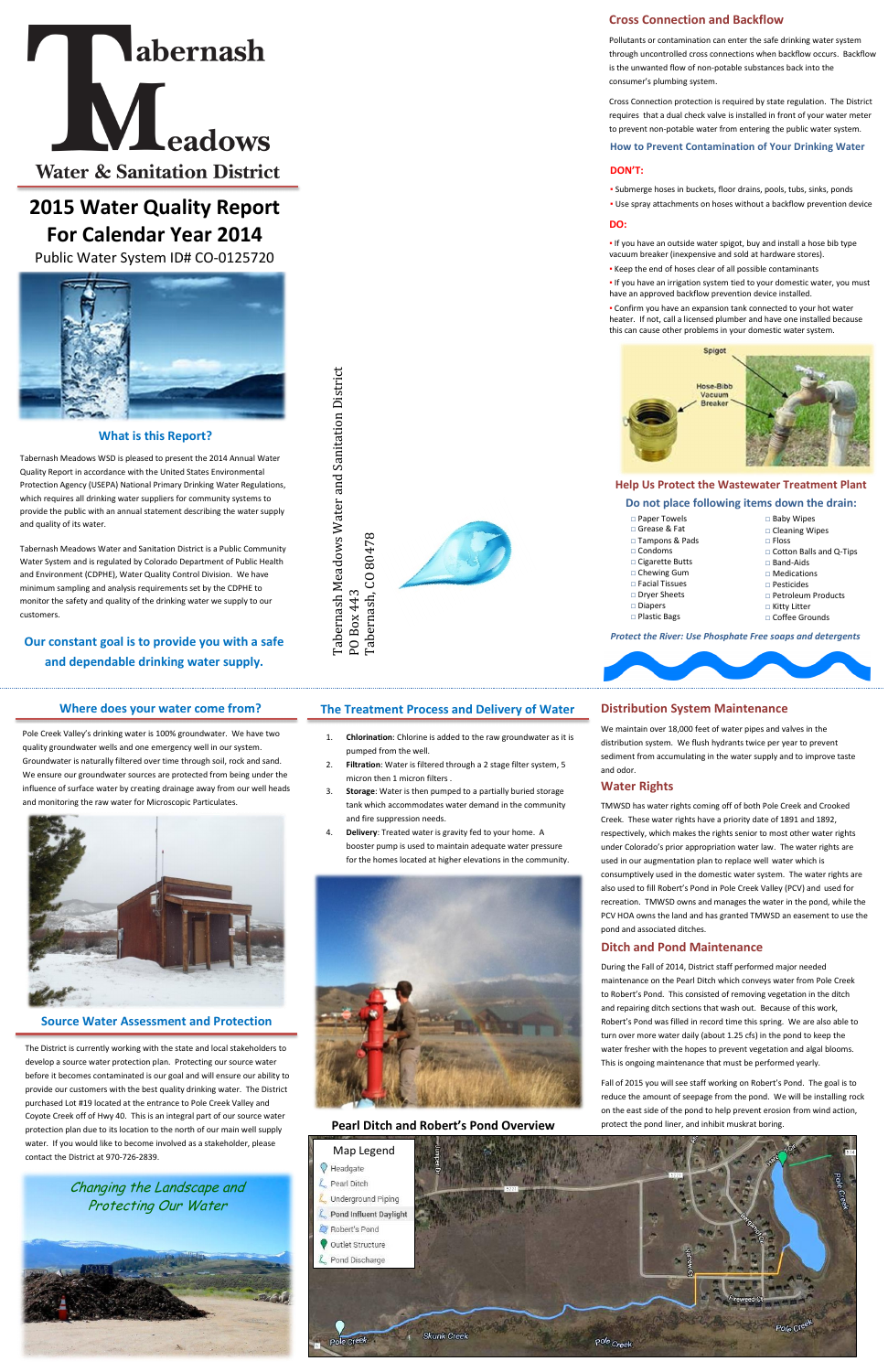# **What is this Report?**



# **2015 Water Quality Report For Calendar Year 2014**

Public Water System ID# CO-0125720



Tabernash Meadows WSD is pleased to present the 2014 Annual Water Quality Report in accordance with the United States Environmental Protection Agency (USEPA) National Primary Drinking Water Regulations, which requires all drinking water suppliers for community systems to provide the public with an annual statement describing the water supply and quality of its water.

Tabernash Meadows Water and Sanitation District is a Public Community Water System and is regulated by Colorado Department of Public Health and Environment (CDPHE), Water Quality Control Division. We have minimum sampling and analysis requirements set by the CDPHE to monitor the safety and quality of the drinking water we supply to our customers.

# **Our constant goal is to provide you with a safe and dependable drinking water supply.**

. If you have an outside water spigot, buy and install a hose bib type vacuum breaker (inexpensive and sold at hardware stores).

Tabernash, CO 80478

# **Cross Connection and Backflow**

Pollutants or contamination can enter the safe drinking water system through uncontrolled cross connections when backflow occurs. Backflow is the unwanted flow of non-potable substances back into the consumer's plumbing system.

- □ Cleaning Wipes □ Floss □ Cotton Balls and Q-Tips □ Band-Aids □ Medications □ Pesticides □ Petroleum Products
- □ Kitty Litter □ Coffee Grounds

Cross Connection protection is required by state regulation. The District requires that a dual check valve is installed in front of your water meter to prevent non-potable water from entering the public water system.

**How to Prevent Contamination of Your Drinking Water**

#### **DON'T:**

- Submerge hoses in buckets, floor drains, pools, tubs, sinks, ponds
- Use spray attachments on hoses without a backflow prevention device

#### **DO:**

- Keep the end of hoses clear of all possible contaminants
- . If you have an irrigation system tied to your domestic water, you must have an approved backflow prevention device installed.

▪ Confirm you have an expansion tank connected to your hot water heater. If not, call a licensed plumber and have one installed because this can cause other problems in your domestic water system.



#### **Help Us Protect the Wastewater Treatment Plant**

#### **Do not place following items down the drain:**

# □ Baby Wipes

*Protect the River: Use Phosphate Free soaps and detergents*

#### **Where does your water come from?**

Pole Creek Valley's drinking water is 100% groundwater. We have two quality groundwater wells and one emergency well in our system. Groundwater is naturally filtered over time through soil, rock and sand. We ensure our groundwater sources are protected from being under the influence of surface water by creating drainage away from our well heads and monitoring the raw water for Microscopic Particulates.



Tabernash Meadows Water and Sanitation District Tabernash Meadows Water and Sanitation District PO Box 443<br>Tabernash, CO 80478

#### **Source Water Assessment and Protection**

The District is currently working with the state and local stakeholders to develop a source water protection plan. Protecting our source water before it becomes contaminated is our goal and will ensure our ability to provide our customers with the best quality drinking water. The District purchased Lot #19 located at the entrance to Pole Creek Valley and Coyote Creek off of Hwy 40. This is an integral part of our source water protection plan due to its location to the north of our main well supply water. If you would like to become involved as a stakeholder, please contact the District at 970-726-2839.

# **The Treatment Process and Delivery of Water**

- 1. **Chlorination**: Chlorine is added to the raw groundwater as it is pumped from the well.
- 2. **Filtration**: Water is filtered through a 2 stage filter system, 5 micron then 1 micron filters .
- 3. **Storage**: Water is then pumped to a partially buried storage tank which accommodates water demand in the community and fire suppression needs.
- 4. **Delivery**: Treated water is gravity fed to your home. A booster pump is used to maintain adequate water pressure for the homes located at higher elevations in the community.



# **Distribution System Maintenance**

We maintain over 18,000 feet of water pipes and valves in the distribution system. We flush hydrants twice per year to prevent sediment from accumulating in the water supply and to improve taste and odor.

#### **Ditch and Pond Maintenance**

During the Fall of 2014, District staff performed major needed maintenance on the Pearl Ditch which conveys water from Pole Creek to Robert's Pond. This consisted of removing vegetation in the ditch d repairing ditch sections that wash out. Because of this work Robert's Pond was filled in record time this spring. We are also able to turn over more water daily (about 1.25 cfs) in the pond to keep the water fresher with the hopes to prevent vegetation and algal blooms. This is ongoing maintenance that must be performed yearly.

Fall of 2015 you will see staff working on Robert's Pond. The goal is to reduce the amount of seepage from the pond. We will be installing rock on the east side of the pond to help prevent erosion from wind action, protect the pond liner, and inhibit muskrat boring.

#### **Water Rights**

TMWSD has water rights coming off of both Pole Creek and Crooked Creek. These water rights have a priority date of 1891 and 1892, respectively, which makes the rights senior to most other water rights under Colorado's prior appropriation water law. The water rights are used in our augmentation plan to replace well water which is consumptively used in the domestic water system. The water rights are also used to fill Robert's Pond in Pole Creek Valley (PCV) and used for recreation. TMWSD owns and manages the water in the pond, while the PCV HOA owns the land and has granted TMWSD an easement to use the pond and associated ditches.

#### **Pearl Ditch and Robert's Pond Overview**



Changing the Landscape and Protecting Our Water